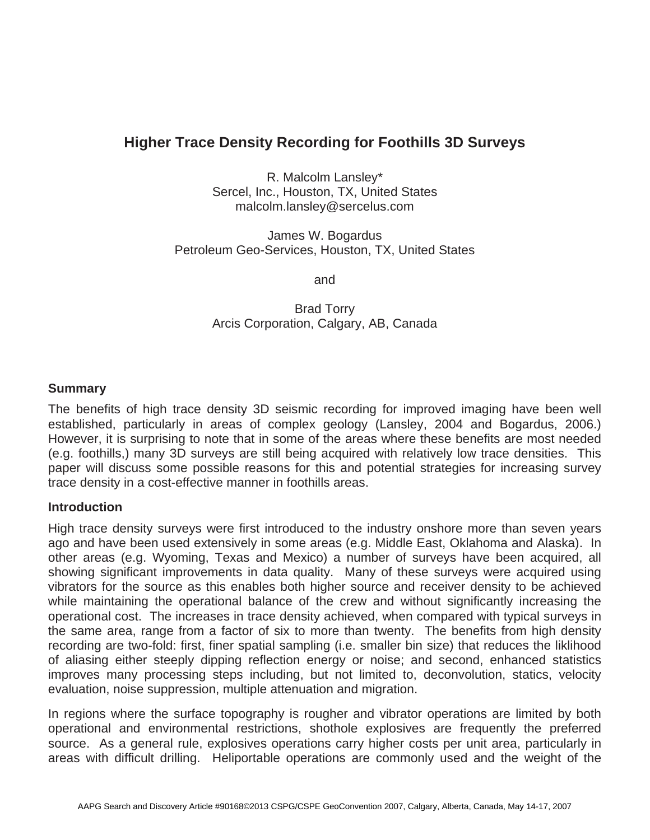# **Higher Trace Density Recording for Foothills 3D Surveys**

R. Malcolm Lansley\* Sercel, Inc., Houston, TX, United States malcolm.lansley@sercelus.com

James W. Bogardus Petroleum Geo-Services, Houston, TX, United States

and

Brad Torry Arcis Corporation, Calgary, AB, Canada

## **Summary**

The benefits of high trace density 3D seismic recording for improved imaging have been well established, particularly in areas of complex geology (Lansley, 2004 and Bogardus, 2006.) However, it is surprising to note that in some of the areas where these benefits are most needed (e.g. foothills,) many 3D surveys are still being acquired with relatively low trace densities. This paper will discuss some possible reasons for this and potential strategies for increasing survey trace density in a cost-effective manner in foothills areas.

#### **Introduction**

High trace density surveys were first introduced to the industry onshore more than seven years ago and have been used extensively in some areas (e.g. Middle East, Oklahoma and Alaska). In other areas (e.g. Wyoming, Texas and Mexico) a number of surveys have been acquired, all showing significant improvements in data quality. Many of these surveys were acquired using vibrators for the source as this enables both higher source and receiver density to be achieved while maintaining the operational balance of the crew and without significantly increasing the operational cost. The increases in trace density achieved, when compared with typical surveys in the same area, range from a factor of six to more than twenty. The benefits from high density recording are two-fold: first, finer spatial sampling (i.e. smaller bin size) that reduces the liklihood of aliasing either steeply dipping reflection energy or noise; and second, enhanced statistics improves many processing steps including, but not limited to, deconvolution, statics, velocity evaluation, noise suppression, multiple attenuation and migration.

In regions where the surface topography is rougher and vibrator operations are limited by both operational and environmental restrictions, shothole explosives are frequently the preferred source. As a general rule, explosives operations carry higher costs per unit area, particularly in areas with difficult drilling. Heliportable operations are commonly used and the weight of the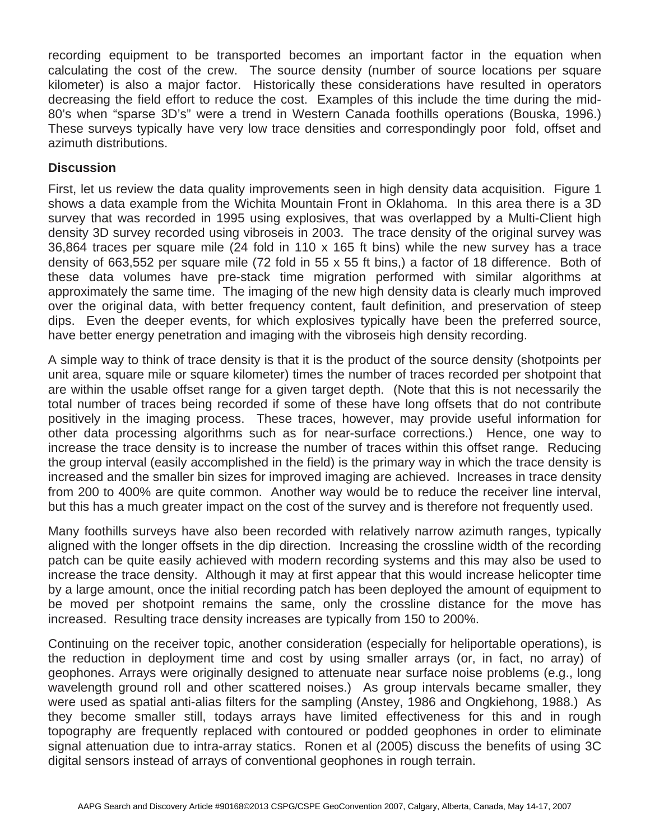recording equipment to be transported becomes an important factor in the equation when calculating the cost of the crew. The source density (number of source locations per square kilometer) is also a major factor. Historically these considerations have resulted in operators decreasing the field effort to reduce the cost. Examples of this include the time during the mid-80's when "sparse 3D's" were a trend in Western Canada foothills operations (Bouska, 1996.) These surveys typically have very low trace densities and correspondingly poor fold, offset and azimuth distributions.

### **Discussion**

First, let us review the data quality improvements seen in high density data acquisition. Figure 1 shows a data example from the Wichita Mountain Front in Oklahoma. In this area there is a 3D survey that was recorded in 1995 using explosives, that was overlapped by a Multi-Client high density 3D survey recorded using vibroseis in 2003. The trace density of the original survey was 36,864 traces per square mile (24 fold in 110 x 165 ft bins) while the new survey has a trace density of 663,552 per square mile (72 fold in 55 x 55 ft bins,) a factor of 18 difference. Both of these data volumes have pre-stack time migration performed with similar algorithms at approximately the same time. The imaging of the new high density data is clearly much improved over the original data, with better frequency content, fault definition, and preservation of steep dips. Even the deeper events, for which explosives typically have been the preferred source, have better energy penetration and imaging with the vibroseis high density recording.

A simple way to think of trace density is that it is the product of the source density (shotpoints per unit area, square mile or square kilometer) times the number of traces recorded per shotpoint that are within the usable offset range for a given target depth. (Note that this is not necessarily the total number of traces being recorded if some of these have long offsets that do not contribute positively in the imaging process. These traces, however, may provide useful information for other data processing algorithms such as for near-surface corrections.) Hence, one way to increase the trace density is to increase the number of traces within this offset range. Reducing the group interval (easily accomplished in the field) is the primary way in which the trace density is increased and the smaller bin sizes for improved imaging are achieved. Increases in trace density from 200 to 400% are quite common. Another way would be to reduce the receiver line interval, but this has a much greater impact on the cost of the survey and is therefore not frequently used.

Many foothills surveys have also been recorded with relatively narrow azimuth ranges, typically aligned with the longer offsets in the dip direction. Increasing the crossline width of the recording patch can be quite easily achieved with modern recording systems and this may also be used to increase the trace density. Although it may at first appear that this would increase helicopter time by a large amount, once the initial recording patch has been deployed the amount of equipment to be moved per shotpoint remains the same, only the crossline distance for the move has increased. Resulting trace density increases are typically from 150 to 200%.

Continuing on the receiver topic, another consideration (especially for heliportable operations), is the reduction in deployment time and cost by using smaller arrays (or, in fact, no array) of geophones. Arrays were originally designed to attenuate near surface noise problems (e.g., long wavelength ground roll and other scattered noises.) As group intervals became smaller, they were used as spatial anti-alias filters for the sampling (Anstey, 1986 and Ongkiehong, 1988.) As they become smaller still, todays arrays have limited effectiveness for this and in rough topography are frequently replaced with contoured or podded geophones in order to eliminate signal attenuation due to intra-array statics. Ronen et al (2005) discuss the benefits of using 3C digital sensors instead of arrays of conventional geophones in rough terrain.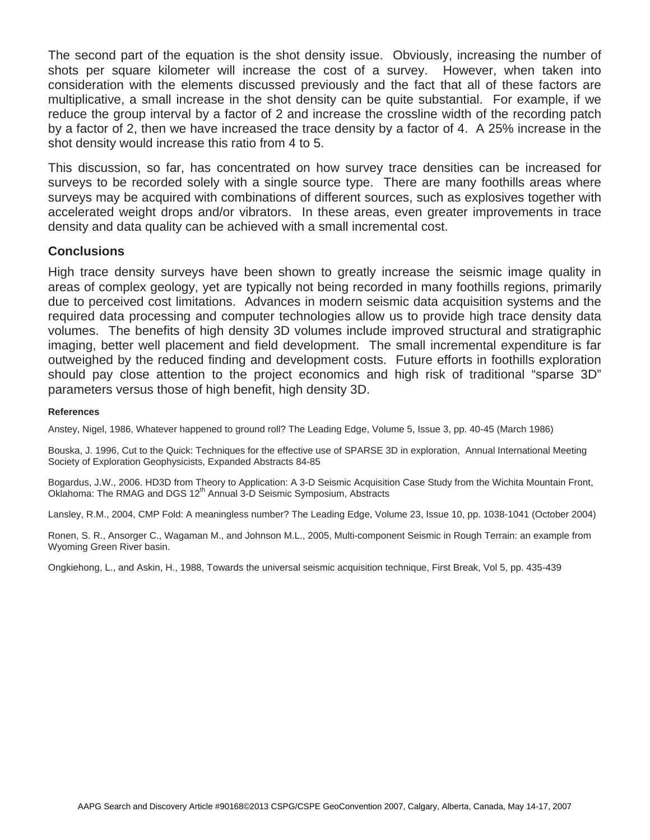The second part of the equation is the shot density issue. Obviously, increasing the number of shots per square kilometer will increase the cost of a survey. However, when taken into consideration with the elements discussed previously and the fact that all of these factors are multiplicative, a small increase in the shot density can be quite substantial. For example, if we reduce the group interval by a factor of 2 and increase the crossline width of the recording patch by a factor of 2, then we have increased the trace density by a factor of 4. A 25% increase in the shot density would increase this ratio from 4 to 5.

This discussion, so far, has concentrated on how survey trace densities can be increased for surveys to be recorded solely with a single source type. There are many foothills areas where surveys may be acquired with combinations of different sources, such as explosives together with accelerated weight drops and/or vibrators. In these areas, even greater improvements in trace density and data quality can be achieved with a small incremental cost.

### **Conclusions**

High trace density surveys have been shown to greatly increase the seismic image quality in areas of complex geology, yet are typically not being recorded in many foothills regions, primarily due to perceived cost limitations. Advances in modern seismic data acquisition systems and the required data processing and computer technologies allow us to provide high trace density data volumes. The benefits of high density 3D volumes include improved structural and stratigraphic imaging, better well placement and field development. The small incremental expenditure is far outweighed by the reduced finding and development costs. Future efforts in foothills exploration should pay close attention to the project economics and high risk of traditional "sparse 3D" parameters versus those of high benefit, high density 3D.

#### **References**

Anstey, Nigel, 1986, Whatever happened to ground roll? The Leading Edge, Volume 5, Issue 3, pp. 40-45 (March 1986)

Bouska, J. 1996, Cut to the Quick: Techniques for the effective use of SPARSE 3D in exploration, Annual International Meeting Society of Exploration Geophysicists, Expanded Abstracts 84-85

Bogardus, J.W., 2006. HD3D from Theory to Application: A 3-D Seismic Acquisition Case Study from the Wichita Mountain Front, Oklahoma: The RMAG and DGS 12<sup>th</sup> Annual 3-D Seismic Symposium, Abstracts

Lansley, R.M., 2004, CMP Fold: A meaningless number? The Leading Edge, Volume 23, Issue 10, pp. 1038-1041 (October 2004)

Ronen, S. R., Ansorger C., Wagaman M., and Johnson M.L., 2005, Multi-component Seismic in Rough Terrain: an example from Wyoming Green River basin.

Ongkiehong, L., and Askin, H., 1988, Towards the universal seismic acquisition technique, First Break, Vol 5, pp. 435-439